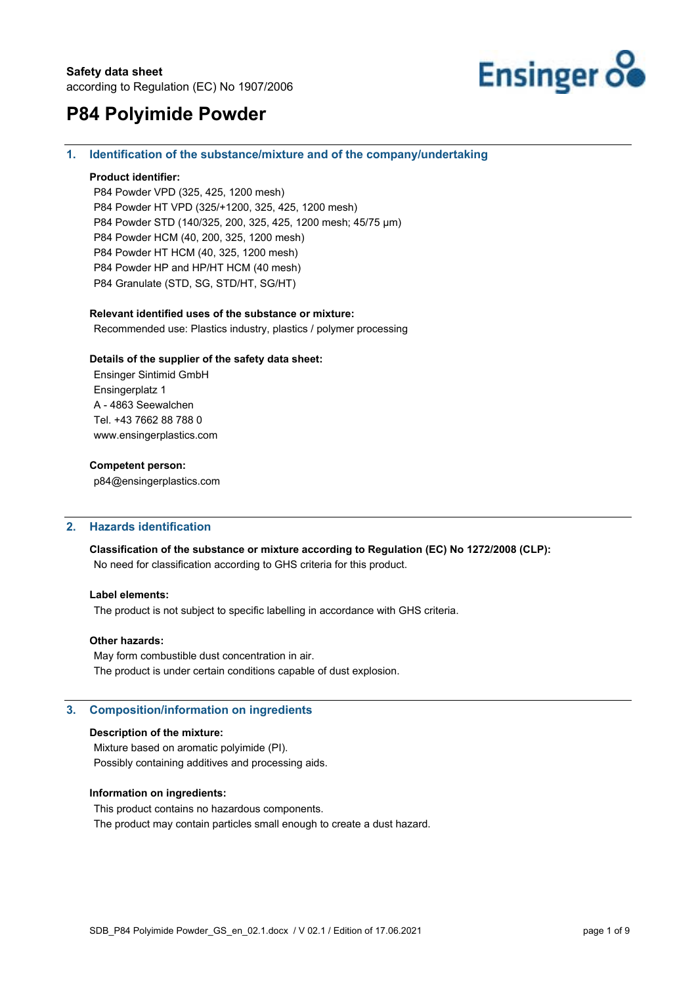

#### **1. Identification of the substance/mixture and of the company/undertaking**

#### **Product identifier:**

P84 Powder VPD (325, 425, 1200 mesh) P84 Powder HT VPD (325/+1200, 325, 425, 1200 mesh) P84 Powder STD (140/325, 200, 325, 425, 1200 mesh; 45/75 µm) P84 Powder HCM (40, 200, 325, 1200 mesh) P84 Powder HT HCM (40, 325, 1200 mesh) P84 Powder HP and HP/HT HCM (40 mesh) P84 Granulate (STD, SG, STD/HT, SG/HT)

#### **Relevant identified uses of the substance or mixture:**

Recommended use: Plastics industry, plastics / polymer processing

#### **Details of the supplier of the safety data sheet:**

Ensinger Sintimid GmbH Ensingerplatz 1 A - 4863 Seewalchen Tel. +43 7662 88 788 0 www.ensingerplastics.com

#### **Competent person:**

p84@ensingerplastics.com

#### **2. Hazards identification**

**Classification of the substance or mixture according to Regulation (EC) No 1272/2008 (CLP):**  No need for classification according to GHS criteria for this product.

#### **Label elements:**

The product is not subject to specific labelling in accordance with GHS criteria.

#### **Other hazards:**

May form combustible dust concentration in air. The product is under certain conditions capable of dust explosion.

#### **3. Composition/information on ingredients**

#### **Description of the mixture:**

Mixture based on aromatic polyimide (PI). Possibly containing additives and processing aids.

#### **Information on ingredients:**

This product contains no hazardous components. The product may contain particles small enough to create a dust hazard.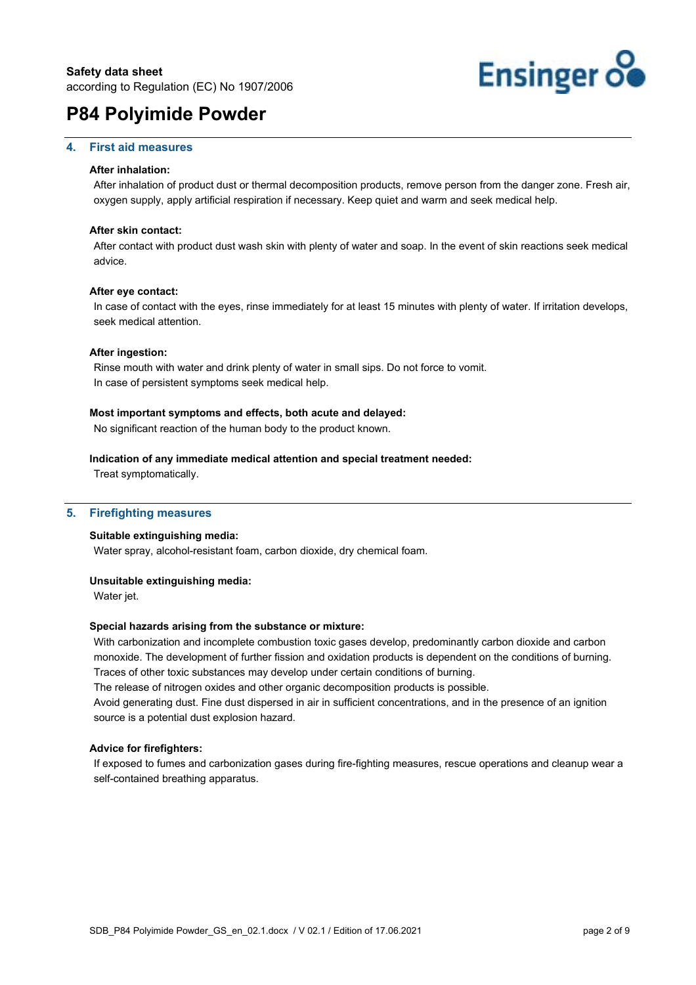#### **4. First aid measures**

#### **After inhalation:**

After inhalation of product dust or thermal decomposition products, remove person from the danger zone. Fresh air, oxygen supply, apply artificial respiration if necessary. Keep quiet and warm and seek medical help.

#### **After skin contact:**

After contact with product dust wash skin with plenty of water and soap. In the event of skin reactions seek medical advice.

#### **After eye contact:**

In case of contact with the eyes, rinse immediately for at least 15 minutes with plenty of water. If irritation develops, seek medical attention.

#### **After ingestion:**

Rinse mouth with water and drink plenty of water in small sips. Do not force to vomit. In case of persistent symptoms seek medical help.

#### **Most important symptoms and effects, both acute and delayed:**

No significant reaction of the human body to the product known.

#### **Indication of any immediate medical attention and special treatment needed:**

Treat symptomatically.

#### **5. Firefighting measures**

#### **Suitable extinguishing media:**

Water spray, alcohol-resistant foam, carbon dioxide, dry chemical foam.

#### **Unsuitable extinguishing media:**

Water jet.

#### **Special hazards arising from the substance or mixture:**

With carbonization and incomplete combustion toxic gases develop, predominantly carbon dioxide and carbon monoxide. The development of further fission and oxidation products is dependent on the conditions of burning. Traces of other toxic substances may develop under certain conditions of burning.

The release of nitrogen oxides and other organic decomposition products is possible.

Avoid generating dust. Fine dust dispersed in air in sufficient concentrations, and in the presence of an ignition source is a potential dust explosion hazard.

#### **Advice for firefighters:**

If exposed to fumes and carbonization gases during fire-fighting measures, rescue operations and cleanup wear a self-contained breathing apparatus.

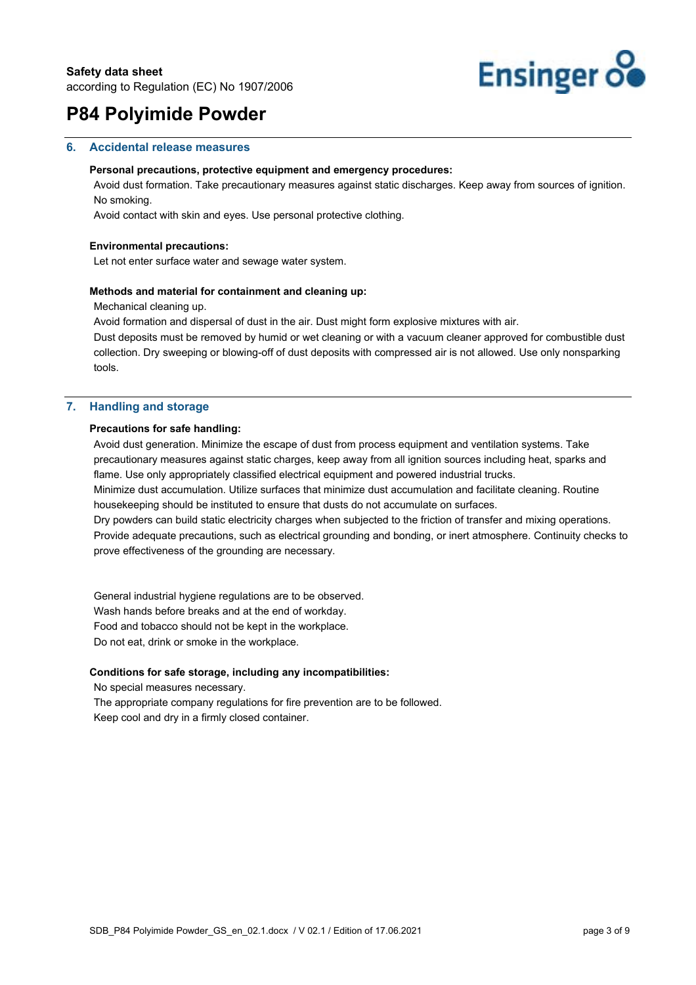

#### **6. Accidental release measures**

#### **Personal precautions, protective equipment and emergency procedures:**

Avoid dust formation. Take precautionary measures against static discharges. Keep away from sources of ignition. No smoking.

Avoid contact with skin and eyes. Use personal protective clothing.

#### **Environmental precautions:**

Let not enter surface water and sewage water system.

#### **Methods and material for containment and cleaning up:**

Mechanical cleaning up.

Avoid formation and dispersal of dust in the air. Dust might form explosive mixtures with air.

Dust deposits must be removed by humid or wet cleaning or with a vacuum cleaner approved for combustible dust collection. Dry sweeping or blowing-off of dust deposits with compressed air is not allowed. Use only nonsparking tools.

#### **7. Handling and storage**

#### **Precautions for safe handling:**

Avoid dust generation. Minimize the escape of dust from process equipment and ventilation systems. Take precautionary measures against static charges, keep away from all ignition sources including heat, sparks and flame. Use only appropriately classified electrical equipment and powered industrial trucks.

Minimize dust accumulation. Utilize surfaces that minimize dust accumulation and facilitate cleaning. Routine housekeeping should be instituted to ensure that dusts do not accumulate on surfaces.

Dry powders can build static electricity charges when subjected to the friction of transfer and mixing operations. Provide adequate precautions, such as electrical grounding and bonding, or inert atmosphere. Continuity checks to prove effectiveness of the grounding are necessary.

General industrial hygiene regulations are to be observed. Wash hands before breaks and at the end of workday. Food and tobacco should not be kept in the workplace. Do not eat, drink or smoke in the workplace.

#### **Conditions for safe storage, including any incompatibilities:**

No special measures necessary.

The appropriate company regulations for fire prevention are to be followed. Keep cool and dry in a firmly closed container.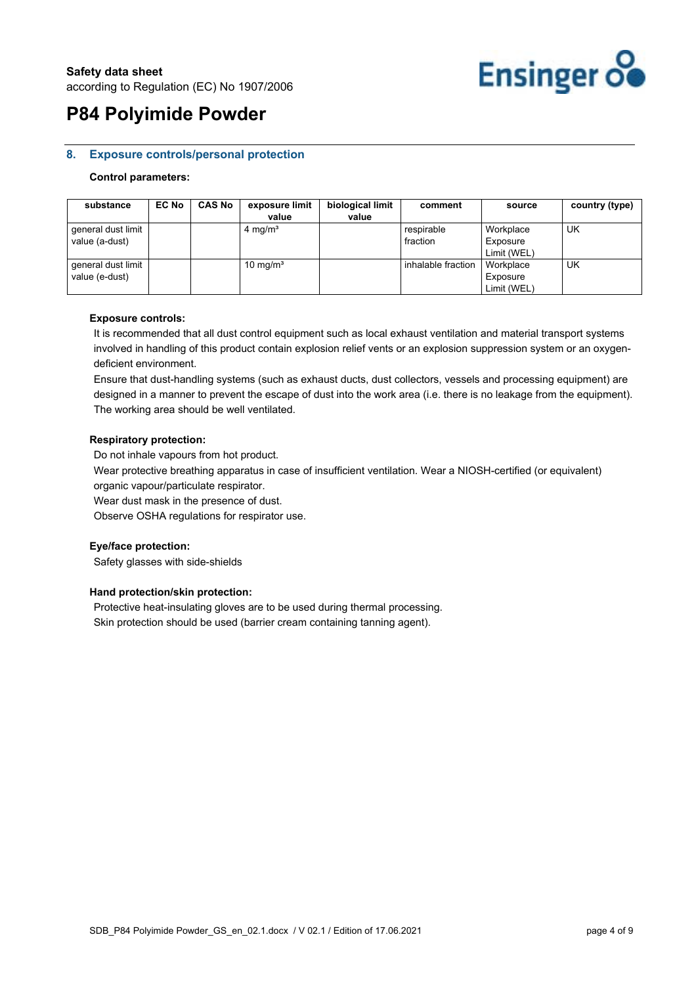

#### **8. Exposure controls/personal protection**

#### **Control parameters:**

| substance                            | <b>EC No</b> | <b>CAS No</b> | exposure limit<br>value | biological limit<br>value | comment                | source                               | country (type) |
|--------------------------------------|--------------|---------------|-------------------------|---------------------------|------------------------|--------------------------------------|----------------|
| general dust limit<br>value (a-dust) |              |               | 4 mg/m <sup>3</sup>     |                           | respirable<br>fraction | Workplace<br>Exposure<br>Limit (WEL) | UK             |
| general dust limit<br>value (e-dust) |              |               | 10 mg/ $m3$             |                           | inhalable fraction     | Workplace<br>Exposure<br>Limit (WEL) | UK             |

#### **Exposure controls:**

It is recommended that all dust control equipment such as local exhaust ventilation and material transport systems involved in handling of this product contain explosion relief vents or an explosion suppression system or an oxygendeficient environment.

Ensure that dust-handling systems (such as exhaust ducts, dust collectors, vessels and processing equipment) are designed in a manner to prevent the escape of dust into the work area (i.e. there is no leakage from the equipment). The working area should be well ventilated.

#### **Respiratory protection:**

Do not inhale vapours from hot product.

Wear protective breathing apparatus in case of insufficient ventilation. Wear a NIOSH-certified (or equivalent) organic vapour/particulate respirator.

Wear dust mask in the presence of dust.

Observe OSHA regulations for respirator use.

#### **Eye/face protection:**

Safety glasses with side-shields

#### **Hand protection/skin protection:**

Protective heat-insulating gloves are to be used during thermal processing. Skin protection should be used (barrier cream containing tanning agent).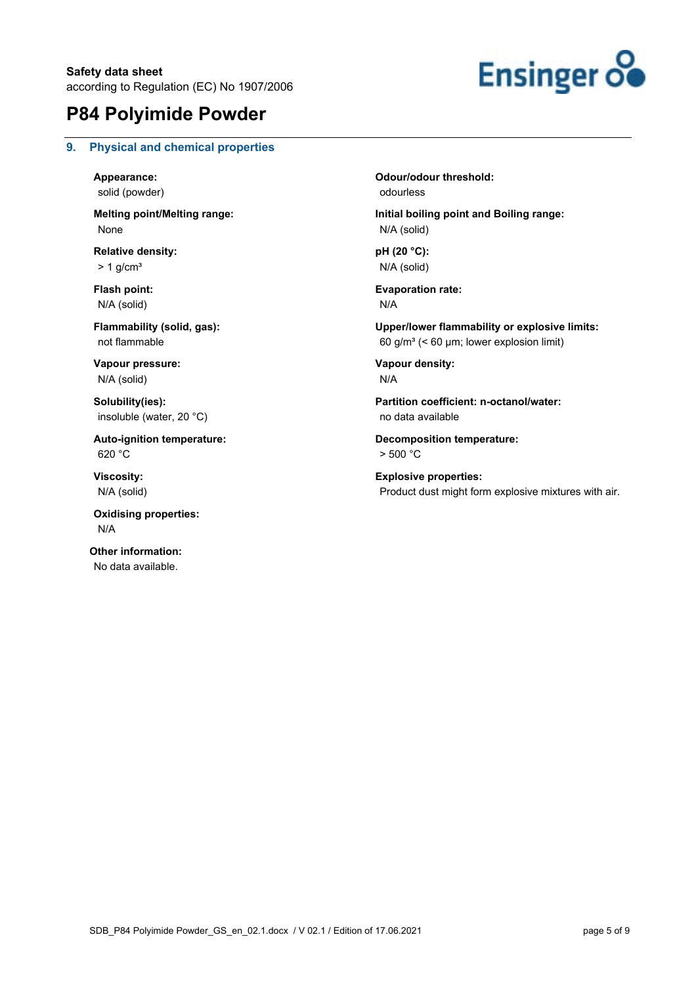

#### **9. Physical and chemical properties**

**Appearance:**  solid (powder)

**Melting point/Melting range:**  None

**Relative density:**   $> 1$  g/cm<sup>3</sup>

**Flash point:**  N/A (solid)

**Flammability (solid, gas):**  not flammable

**Vapour pressure:**  N/A (solid)

**Solubility(ies):**  insoluble (water, 20 °C)

**Auto-ignition temperature:**  620 °C

**Viscosity:**  N/A (solid)

**Oxidising properties:**  N/A

**Other information:**  No data available.

**Odour/odour threshold:**  odourless

**Initial boiling point and Boiling range:**  N/A (solid)

**pH (20 °C):**  N/A (solid)

**Evaporation rate:**  N/A

**Upper/lower flammability or explosive limits:**  60 g/m<sup>3</sup> (< 60 µm; lower explosion limit)

**Vapour density:**  N/A

**Partition coefficient: n-octanol/water:**  no data available

**Decomposition temperature:**  > 500 °C

**Explosive properties:**  Product dust might form explosive mixtures with air.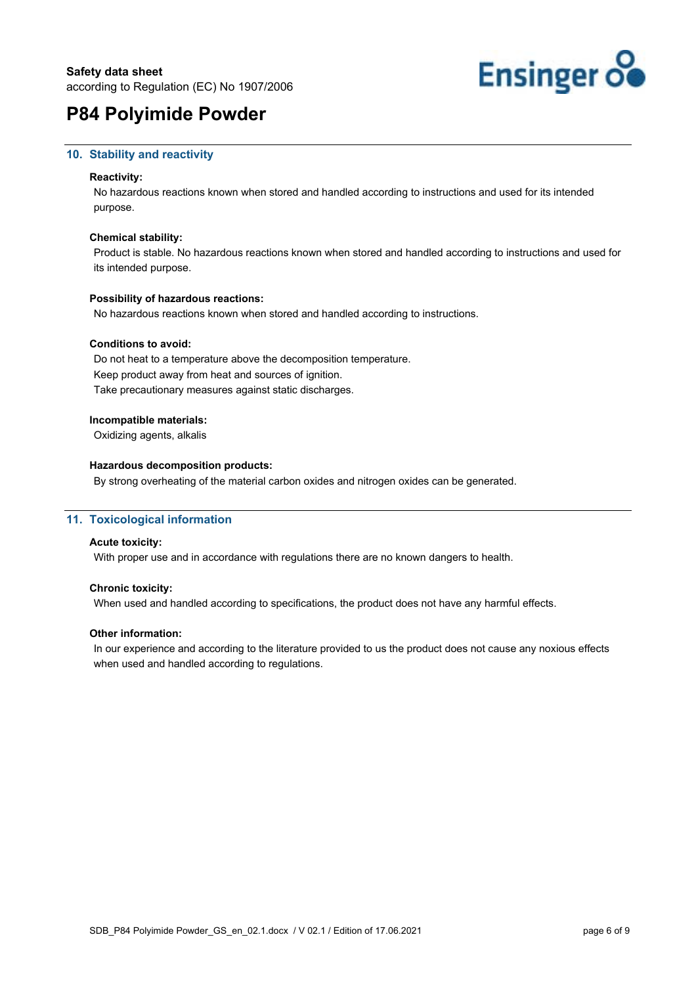

#### **10. Stability and reactivity**

#### **Reactivity:**

No hazardous reactions known when stored and handled according to instructions and used for its intended purpose.

#### **Chemical stability:**

Product is stable. No hazardous reactions known when stored and handled according to instructions and used for its intended purpose.

#### **Possibility of hazardous reactions:**

No hazardous reactions known when stored and handled according to instructions.

#### **Conditions to avoid:**

Do not heat to a temperature above the decomposition temperature. Keep product away from heat and sources of ignition. Take precautionary measures against static discharges.

#### **Incompatible materials:**

Oxidizing agents, alkalis

#### **Hazardous decomposition products:**

By strong overheating of the material carbon oxides and nitrogen oxides can be generated.

#### **11. Toxicological information**

#### **Acute toxicity:**

With proper use and in accordance with regulations there are no known dangers to health.

#### **Chronic toxicity:**

When used and handled according to specifications, the product does not have any harmful effects.

#### **Other information:**

In our experience and according to the literature provided to us the product does not cause any noxious effects when used and handled according to regulations.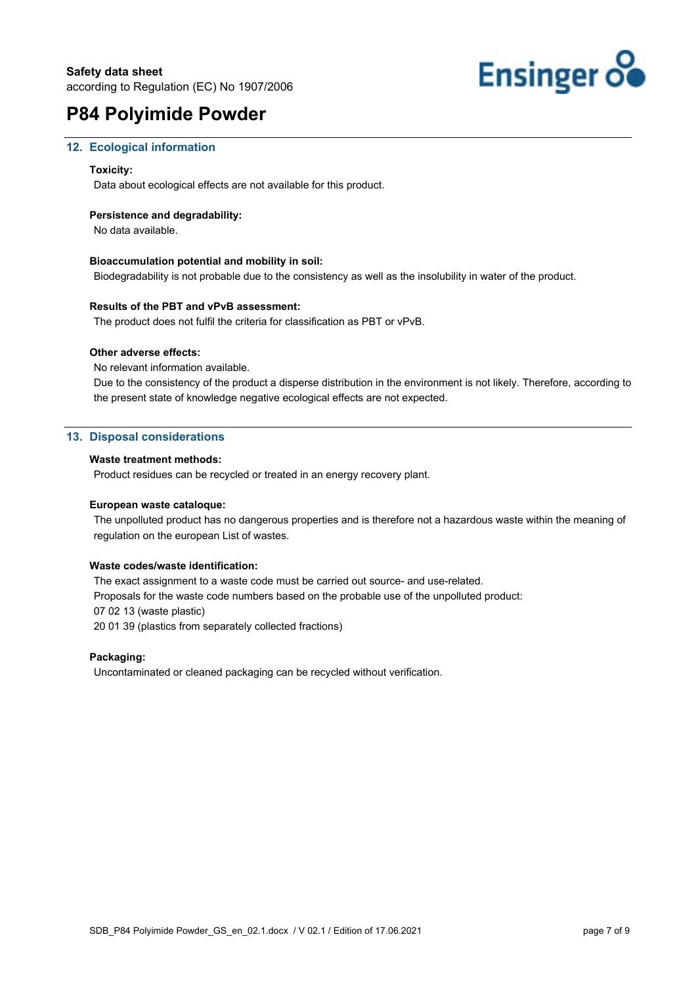

#### **12. Ecological information**

#### **Toxicity:**

Data about ecological effects are not available for this product.

#### **Persistence and degradability:**

No data available.

#### **Bioaccumulation potential and mobility in soil:**

Biodegradability is not probable due to the consistency as well as the insolubility in water of the product.

#### **Results of the PBT and vPvB assessment:**

The product does not fulfil the criteria for classification as PBT or vPvB.

#### **Other adverse effects:**

No relevant information available.

Due to the consistency of the product a disperse distribution in the environment is not likely. Therefore, according to the present state of knowledge negative ecological effects are not expected.

#### **13. Disposal considerations**

#### **Waste treatment methods:**

Product residues can be recycled or treated in an energy recovery plant.

#### **European waste cataloque:**

The unpolluted product has no dangerous properties and is therefore not a hazardous waste within the meaning of regulation on the european List of wastes.

#### **Waste codes/waste identification:**

The exact assignment to a waste code must be carried out source- and use-related. Proposals for the waste code numbers based on the probable use of the unpolluted product: 07 02 13 (waste plastic) 20 01 39 (plastics from separately collected fractions)

#### **Packaging:**

Uncontaminated or cleaned packaging can be recycled without verification.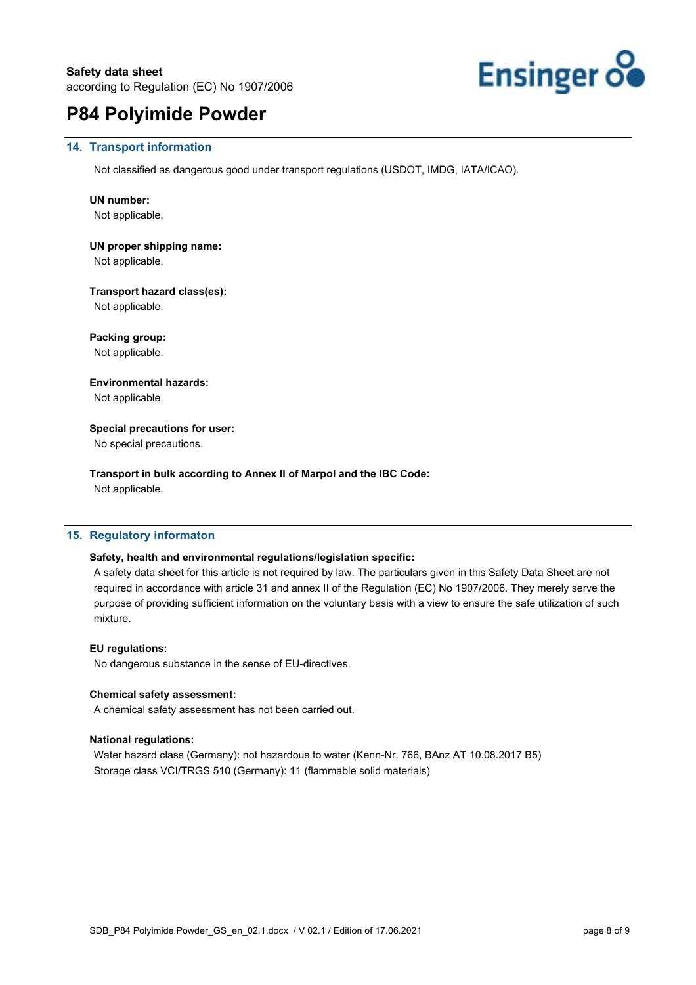

#### **14. Transport information**

Not classified as dangerous good under transport regulations (USDOT, IMDG, IATA/ICAO).

#### **UN number:**

Not applicable.

### **UN proper shipping name:**

Not applicable.

**Transport hazard class(es):**  Not applicable.

**Packing group:**  Not applicable.

**Environmental hazards:**  Not applicable.

### **Special precautions for user:**

No special precautions.

**Transport in bulk according to Annex II of Marpol and the IBC Code:**  Not applicable.

### **15. Regulatory informaton**

#### **Safety, health and environmental regulations/legislation specific:**

A safety data sheet for this article is not required by law. The particulars given in this Safety Data Sheet are not required in accordance with article 31 and annex II of the Regulation (EC) No 1907/2006. They merely serve the purpose of providing sufficient information on the voluntary basis with a view to ensure the safe utilization of such mixture.

#### **EU regulations:**

No dangerous substance in the sense of EU-directives.

#### **Chemical safety assessment:**

A chemical safety assessment has not been carried out.

#### **National regulations:**

Water hazard class (Germany): not hazardous to water (Kenn-Nr. 766, BAnz AT 10.08.2017 B5) Storage class VCI/TRGS 510 (Germany): 11 (flammable solid materials)